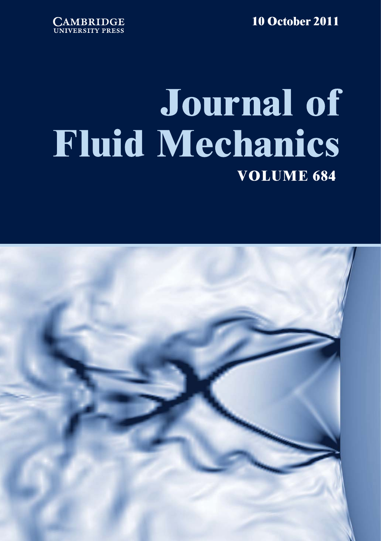**10 October 2011**



## **Journal of Fluid Mechanics VOLUME 684**